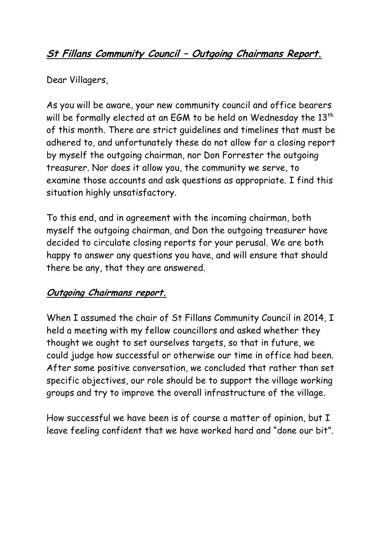# **St Fillans Community Council – Outgoing Chairmans Report.**

Dear Villagers,

As you will be aware, your new community council and office bearers will be formally elected at an EGM to be held on Wednesday the 13<sup>th</sup> of this month. There are strict guidelines and timelines that must be adhered to, and unfortunately these do not allow for a closing report by myself the outgoing chairman, nor Don Forrester the outgoing treasurer. Nor does it allow you, the community we serve, to examine those accounts and ask questions as appropriate. I find this situation highly unsatisfactory.

To this end, and in agreement with the incoming chairman, both myself the outgoing chairman, and Don the outgoing treasurer have decided to circulate closing reports for your perusal. We are both happy to answer any questions you have, and will ensure that should there be any, that they are answered.

## **Outgoing Chairmans report.**

When I assumed the chair of St Fillans Community Council in 2014, I held a meeting with my fellow councillors and asked whether they thought we ought to set ourselves targets, so that in future, we could judge how successful or otherwise our time in office had been. After some positive conversation, we concluded that rather than set specific objectives, our role should be to support the village working groups and try to improve the overall infrastructure of the village.

How successful we have been is of course a matter of opinion, but I leave feeling confident that we have worked hard and "done our bit".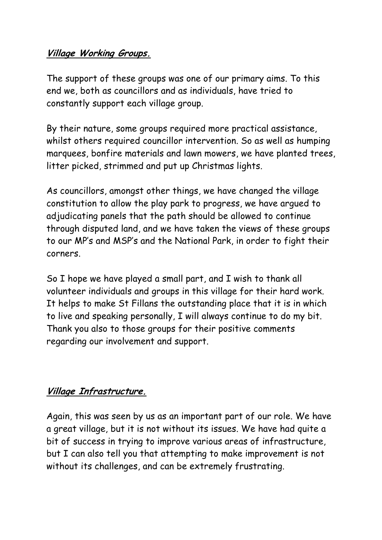### **Village Working Groups.**

The support of these groups was one of our primary aims. To this end we, both as councillors and as individuals, have tried to constantly support each village group.

By their nature, some groups required more practical assistance, whilst others required councillor intervention. So as well as humping marquees, bonfire materials and lawn mowers, we have planted trees, litter picked, strimmed and put up Christmas lights.

As councillors, amongst other things, we have changed the village constitution to allow the play park to progress, we have argued to adjudicating panels that the path should be allowed to continue through disputed land, and we have taken the views of these groups to our MP's and MSP's and the National Park, in order to fight their corners.

So I hope we have played a small part, and I wish to thank all volunteer individuals and groups in this village for their hard work. It helps to make St Fillans the outstanding place that it is in which to live and speaking personally, I will always continue to do my bit. Thank you also to those groups for their positive comments regarding our involvement and support.

#### **Village Infrastructure.**

Again, this was seen by us as an important part of our role. We have a great village, but it is not without its issues. We have had quite a bit of success in trying to improve various areas of infrastructure, but I can also tell you that attempting to make improvement is not without its challenges, and can be extremely frustrating.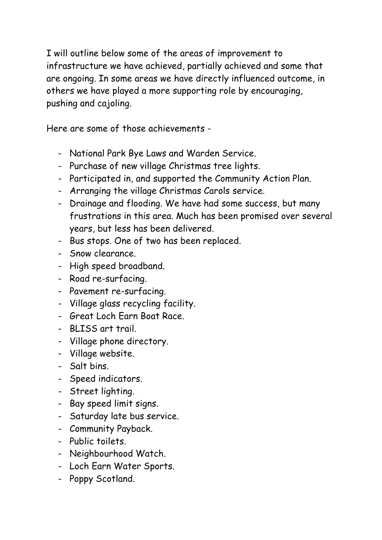I will outline below some of the areas of improvement to infrastructure we have achieved, partially achieved and some that are ongoing. In some areas we have directly influenced outcome, in others we have played a more supporting role by encouraging, pushing and cajoling.

Here are some of those achievements -

- National Park Bye Laws and Warden Service.
- Purchase of new village Christmas tree lights.
- Participated in, and supported the Community Action Plan.
- Arranging the village Christmas Carols service.
- Drainage and flooding. We have had some success, but many frustrations in this area. Much has been promised over several years, but less has been delivered.
- Bus stops. One of two has been replaced.
- Snow clearance.
- High speed broadband.
- Road re-surfacing.
- Pavement re-surfacing.
- Village glass recycling facility.
- Great Loch Earn Boat Race.
- BLISS art trail.
- Village phone directory.
- Village website.
- Salt bins.
- Speed indicators.
- Street lighting.
- Bay speed limit signs.
- Saturday late bus service.
- Community Payback.
- Public toilets.
- Neighbourhood Watch.
- Loch Earn Water Sports.
- Poppy Scotland.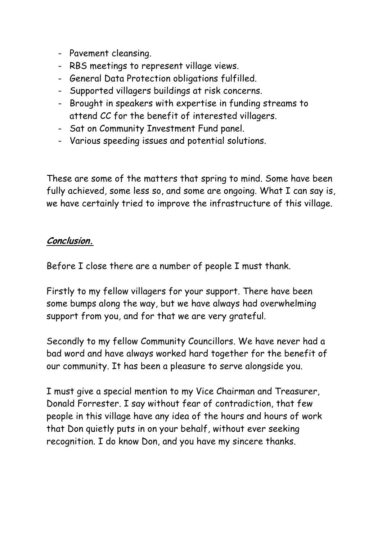- Pavement cleansing.
- RBS meetings to represent village views.
- General Data Protection obligations fulfilled.
- Supported villagers buildings at risk concerns.
- Brought in speakers with expertise in funding streams to attend CC for the benefit of interested villagers.
- Sat on Community Investment Fund panel.
- Various speeding issues and potential solutions.

These are some of the matters that spring to mind. Some have been fully achieved, some less so, and some are ongoing. What I can say is, we have certainly tried to improve the infrastructure of this village.

#### **Conclusion.**

Before I close there are a number of people I must thank.

Firstly to my fellow villagers for your support. There have been some bumps along the way, but we have always had overwhelming support from you, and for that we are very grateful.

Secondly to my fellow Community Councillors. We have never had a bad word and have always worked hard together for the benefit of our community. It has been a pleasure to serve alongside you.

I must give a special mention to my Vice Chairman and Treasurer, Donald Forrester. I say without fear of contradiction, that few people in this village have any idea of the hours and hours of work that Don quietly puts in on your behalf, without ever seeking recognition. I do know Don, and you have my sincere thanks.